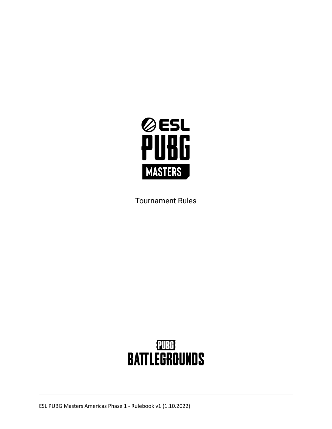

Tournament Rules

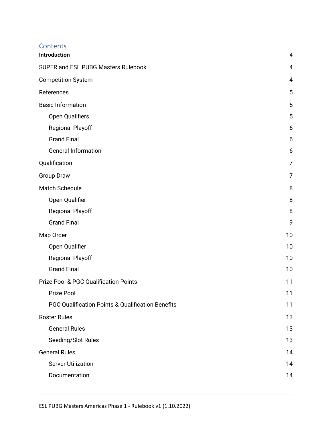## **Contents**

| Introduction                                      | $\overline{4}$ |
|---------------------------------------------------|----------------|
| SUPER and ESL PUBG Masters Rulebook               | $\overline{4}$ |
| <b>Competition System</b>                         | 4              |
| References                                        | 5              |
| <b>Basic Information</b>                          | 5              |
| Open Qualifiers                                   | 5              |
| <b>Regional Playoff</b>                           | 6              |
| <b>Grand Final</b>                                | 6              |
| <b>General Information</b>                        | 6              |
| Qualification                                     | 7              |
| <b>Group Draw</b>                                 | 7              |
| <b>Match Schedule</b>                             | 8              |
| Open Qualifier                                    | 8              |
| <b>Regional Playoff</b>                           | 8              |
| <b>Grand Final</b>                                | 9              |
| Map Order                                         | 10             |
| Open Qualifier                                    | 10             |
| <b>Regional Playoff</b>                           | 10             |
| <b>Grand Final</b>                                | 10             |
| <b>Prize Pool &amp; PGC Qualification Points</b>  | 11             |
| Prize Pool                                        | 11             |
| PGC Qualification Points & Qualification Benefits | 11             |
| <b>Roster Rules</b>                               | 13             |
| <b>General Rules</b>                              | 13             |
| Seeding/Slot Rules                                | 13             |
| <b>General Rules</b>                              | 14             |
| <b>Server Utilization</b>                         | 14             |
| Documentation                                     | 14             |
|                                                   |                |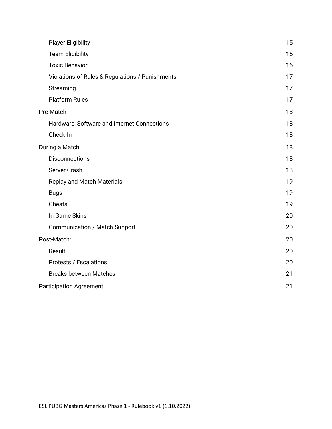| 15<br><b>Team Eligibility</b><br><b>Toxic Behavior</b><br>16<br>Violations of Rules & Regulations / Punishments<br>17<br>Streaming<br>17<br><b>Platform Rules</b><br>17<br>18<br>Hardware, Software and Internet Connections<br>18<br>Check-In<br>18<br>18<br><b>Disconnections</b><br>18<br>Server Crash<br>18<br>19<br><b>Replay and Match Materials</b><br>19<br><b>Bugs</b><br>Cheats<br>19<br>In Game Skins<br>20<br>20<br><b>Communication / Match Support</b><br>20<br>Result<br>20<br><b>Protests / Escalations</b><br>20<br><b>Breaks between Matches</b><br>21<br>21 | <b>Player Eligibility</b>       | 15 |
|--------------------------------------------------------------------------------------------------------------------------------------------------------------------------------------------------------------------------------------------------------------------------------------------------------------------------------------------------------------------------------------------------------------------------------------------------------------------------------------------------------------------------------------------------------------------------------|---------------------------------|----|
|                                                                                                                                                                                                                                                                                                                                                                                                                                                                                                                                                                                |                                 |    |
|                                                                                                                                                                                                                                                                                                                                                                                                                                                                                                                                                                                |                                 |    |
|                                                                                                                                                                                                                                                                                                                                                                                                                                                                                                                                                                                |                                 |    |
|                                                                                                                                                                                                                                                                                                                                                                                                                                                                                                                                                                                |                                 |    |
|                                                                                                                                                                                                                                                                                                                                                                                                                                                                                                                                                                                |                                 |    |
|                                                                                                                                                                                                                                                                                                                                                                                                                                                                                                                                                                                | Pre-Match                       |    |
|                                                                                                                                                                                                                                                                                                                                                                                                                                                                                                                                                                                |                                 |    |
|                                                                                                                                                                                                                                                                                                                                                                                                                                                                                                                                                                                |                                 |    |
|                                                                                                                                                                                                                                                                                                                                                                                                                                                                                                                                                                                | During a Match                  |    |
|                                                                                                                                                                                                                                                                                                                                                                                                                                                                                                                                                                                |                                 |    |
|                                                                                                                                                                                                                                                                                                                                                                                                                                                                                                                                                                                |                                 |    |
|                                                                                                                                                                                                                                                                                                                                                                                                                                                                                                                                                                                |                                 |    |
|                                                                                                                                                                                                                                                                                                                                                                                                                                                                                                                                                                                |                                 |    |
|                                                                                                                                                                                                                                                                                                                                                                                                                                                                                                                                                                                |                                 |    |
|                                                                                                                                                                                                                                                                                                                                                                                                                                                                                                                                                                                |                                 |    |
|                                                                                                                                                                                                                                                                                                                                                                                                                                                                                                                                                                                |                                 |    |
|                                                                                                                                                                                                                                                                                                                                                                                                                                                                                                                                                                                | Post-Match:                     |    |
|                                                                                                                                                                                                                                                                                                                                                                                                                                                                                                                                                                                |                                 |    |
|                                                                                                                                                                                                                                                                                                                                                                                                                                                                                                                                                                                |                                 |    |
|                                                                                                                                                                                                                                                                                                                                                                                                                                                                                                                                                                                |                                 |    |
|                                                                                                                                                                                                                                                                                                                                                                                                                                                                                                                                                                                | <b>Participation Agreement:</b> |    |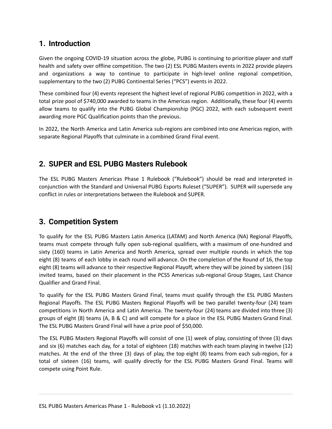## <span id="page-3-0"></span>**1. Introduction**

Given the ongoing COVID-19 situation across the globe, PUBG is continuing to prioritize player and staff health and safety over offline competition. The two (2) ESL PUBG Masters events in 2022 provide players and organizations a way to continue to participate in high-level online regional competition, supplementary to the two (2) PUBG Continental Series ("PCS") events in 2022.

These combined four (4) events represent the highest level of regional PUBG competition in 2022, with a total prize pool of \$740,000 awarded to teams in the Americas region. Additionally, these four (4) events allow teams to qualify into the PUBG Global Championship (PGC) 2022, with each subsequent event awarding more PGC Qualification points than the previous.

In 2022, the North America and Latin America sub-regions are combined into one Americas region, with separate Regional Playoffs that culminate in a combined Grand Final event.

## <span id="page-3-1"></span>**2. SUPER and ESL PUBG Masters Rulebook**

The ESL PUBG Masters Americas Phase 1 Rulebook ("Rulebook") should be read and interpreted in conjunction with the Standard and Universal PUBG Esports Ruleset ("SUPER"). SUPER will supersede any conflict in rules or interpretations between the Rulebook and SUPER.

## <span id="page-3-2"></span>**3. Competition System**

To qualify for the ESL PUBG Masters Latin America (LATAM) and North America (NA) Regional Playoffs, teams must compete through fully open sub-regional qualifiers, with a maximum of one-hundred and sixty (160) teams in Latin America and North America, spread over multiple rounds in which the top eight (8) teams of each lobby in each round will advance. On the completion of the Round of 16, the top eight (8) teams will advance to their respective Regional Playoff, where they will be joined by sixteen (16) invited teams, based on their placement in the PCS5 Americas sub-regional Group Stages, Last Chance Qualifier and Grand Final.

To qualify for the ESL PUBG Masters Grand Final, teams must qualify through the ESL PUBG Masters Regional Playoffs. The ESL PUBG Masters Regional Playoffs will be two parallel twenty-four (24) team competitions in North America and Latin America. The twenty-four (24) teams are divided into three (3) groups of eight (8) teams (A, B & C) and will compete for a place in the ESL PUBG Masters Grand Final. The ESL PUBG Masters Grand Final will have a prize pool of \$50,000.

The ESL PUBG Masters Regional Playoffs will consist of one (1) week of play, consisting of three (3) days and six (6) matches each day, for a total of eighteen (18) matches with each team playing in twelve (12) matches. At the end of the three (3) days of play, the top eight (8) teams from each sub-region, for a total of sixteen (16) teams, will qualify directly for the ESL PUBG Masters Grand Final. Teams will compete using Point Rule.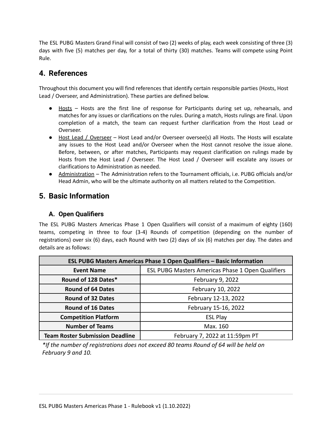The ESL PUBG Masters Grand Final will consist of two (2) weeks of play, each week consisting of three (3) days with five (5) matches per day, for a total of thirty (30) matches. Teams will compete using Point Rule.

## <span id="page-4-0"></span>**4. References**

Throughout this document you will find references that identify certain responsible parties (Hosts, Host Lead / Overseer, and Administration). These parties are defined below.

- Hosts Hosts are the first line of response for Participants during set up, rehearsals, and matches for any issues or clarifications on the rules. During a match, Hosts rulings are final. Upon completion of a match, the team can request further clarification from the Host Lead or Overseer.
- Host Lead / Overseer Host Lead and/or Overseer oversee(s) all Hosts. The Hosts will escalate any issues to the Host Lead and/or Overseer when the Host cannot resolve the issue alone. Before, between, or after matches, Participants may request clarification on rulings made by Hosts from the Host Lead / Overseer. The Host Lead / Overseer will escalate any issues or clarifications to Administration as needed.
- Administration The Administration refers to the Tournament officials, i.e. PUBG officials and/or Head Admin, who will be the ultimate authority on all matters related to the Competition.

## <span id="page-4-1"></span>**5. Basic Information**

### <span id="page-4-2"></span>**A. Open Qualifiers**

The ESL PUBG Masters Americas Phase 1 Open Qualifiers will consist of a maximum of eighty (160) teams, competing in three to four (3-4) Rounds of competition (depending on the number of registrations) over six (6) days, each Round with two (2) days of six (6) matches per day. The dates and details are as follows:

| ESL PUBG Masters Americas Phase 1 Open Qualifiers - Basic Information |                                                          |  |  |
|-----------------------------------------------------------------------|----------------------------------------------------------|--|--|
| <b>Event Name</b>                                                     | <b>ESL PUBG Masters Americas Phase 1 Open Qualifiers</b> |  |  |
| Round of 128 Dates*                                                   | February 9, 2022                                         |  |  |
| <b>Round of 64 Dates</b>                                              | February 10, 2022                                        |  |  |
| <b>Round of 32 Dates</b>                                              | February 12-13, 2022                                     |  |  |
| <b>Round of 16 Dates</b>                                              | February 15-16, 2022                                     |  |  |
| <b>Competition Platform</b>                                           | <b>ESL Play</b>                                          |  |  |
| <b>Number of Teams</b>                                                | Max. 160                                                 |  |  |
| <b>Team Roster Submission Deadline</b>                                | February 7, 2022 at 11:59pm PT                           |  |  |

*\*If the number of registrations does not exceed 80 teams Round of 64 will be held on February 9 and 10.*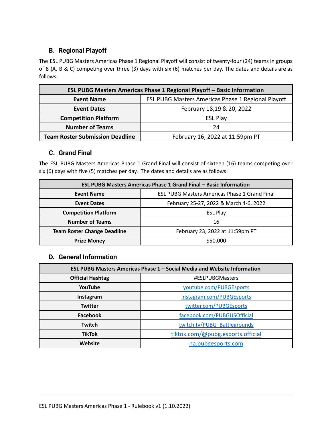## <span id="page-5-0"></span>**B. Regional Playoff**

The ESL PUBG Masters Americas Phase 1 Regional Playoff will consist of twenty-four (24) teams in groups of 8 (A, B & C) competing over three (3) days with six (6) matches per day. The dates and details are as follows:

| <b>ESL PUBG Masters Americas Phase 1 Regional Playoff - Basic Information</b> |                                 |  |  |
|-------------------------------------------------------------------------------|---------------------------------|--|--|
| ESL PUBG Masters Americas Phase 1 Regional Playoff<br><b>Event Name</b>       |                                 |  |  |
| <b>Event Dates</b>                                                            | February 18,19 & 20, 2022       |  |  |
| <b>Competition Platform</b>                                                   | <b>ESL Play</b>                 |  |  |
| <b>Number of Teams</b>                                                        | 24                              |  |  |
| <b>Team Roster Submission Deadline</b>                                        | February 16, 2022 at 11:59pm PT |  |  |

## <span id="page-5-1"></span>**C. Grand Final**

The ESL PUBG Masters Americas Phase 1 Grand Final will consist of sixteen (16) teams competing over six (6) days with five (5) matches per day. The dates and details are as follows:

| <b>ESL PUBG Masters Americas Phase 1 Grand Final - Basic Information</b> |                                                      |  |  |
|--------------------------------------------------------------------------|------------------------------------------------------|--|--|
| <b>Event Name</b>                                                        | <b>ESL PUBG Masters Americas Phase 1 Grand Final</b> |  |  |
| <b>Event Dates</b>                                                       | February 25-27, 2022 & March 4-6, 2022               |  |  |
| <b>Competition Platform</b>                                              | <b>ESL Play</b>                                      |  |  |
| <b>Number of Teams</b>                                                   | 16                                                   |  |  |
| <b>Team Roster Change Deadline</b>                                       | February 23, 2022 at 11:59pm PT                      |  |  |
| <b>Prize Money</b>                                                       | \$50,000                                             |  |  |

#### <span id="page-5-2"></span>**D. General Information**

| ESL PUBG Masters Americas Phase 1 – Social Media and Website Information |                                   |  |
|--------------------------------------------------------------------------|-----------------------------------|--|
| <b>Official Hashtag</b><br>#ESLPUBGMasters                               |                                   |  |
| YouTube                                                                  | youtube.com/PUBGEsports           |  |
| Instagram                                                                | instagram.com/PUBGEsports         |  |
| <b>Twitter</b>                                                           | twitter.com/PUBGEsports           |  |
| Facebook                                                                 | facebook.com/PUBGUSOfficial       |  |
| Twitch                                                                   | twitch.tv/PUBG Battlegrounds      |  |
| <b>TikTok</b>                                                            | tiktok.com/@pubg.esports.official |  |
| <b>Website</b>                                                           | na.pubgesports.com                |  |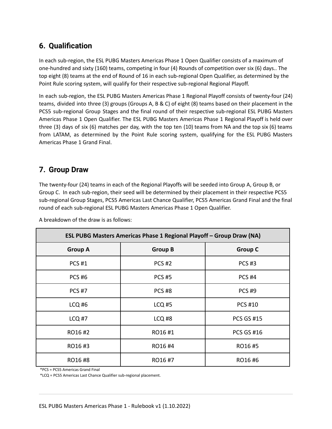## <span id="page-6-0"></span>**6. Qualification**

In each sub-region, the ESL PUBG Masters Americas Phase 1 Open Qualifier consists of a maximum of one-hundred and sixty (160) teams, competing in four (4) Rounds of competition over six (6) days.. The top eight (8) teams at the end of Round of 16 in each sub-regional Open Qualifier, as determined by the Point Rule scoring system, will qualify for their respective sub-regional Regional Playoff.

In each sub-region, the ESL PUBG Masters Americas Phase 1 Regional Playoff consists of twenty-four (24) teams, divided into three (3) groups (Groups A, B & C) of eight (8) teams based on their placement in the PCS5 sub-regional Group Stages and the final round of their respective sub-regional ESL PUBG Masters Americas Phase 1 Open Qualifier. The ESL PUBG Masters Americas Phase 1 Regional Playoff is held over three (3) days of six (6) matches per day, with the top ten (10) teams from NA and the top six (6) teams from LATAM, as determined by the Point Rule scoring system, qualifying for the ESL PUBG Masters Americas Phase 1 Grand Final.

## <span id="page-6-1"></span>**7. Group Draw**

The twenty-four (24) teams in each of the Regional Playoffs will be seeded into Group A, Group B, or Group C. In each sub-region, their seed will be determined by their placement in their respective PCS5 sub-regional Group Stages, PCS5 Americas Last Chance Qualifier, PCS5 Americas Grand Final and the final round of each sub-regional ESL PUBG Masters Americas Phase 1 Open Qualifier.

| ESL PUBG Masters Americas Phase 1 Regional Playoff - Group Draw (NA) |                   |                   |  |
|----------------------------------------------------------------------|-------------------|-------------------|--|
| <b>Group A</b>                                                       | <b>Group B</b>    | <b>Group C</b>    |  |
| <b>PCS #1</b>                                                        | <b>PCS #2</b>     | <b>PCS#3</b>      |  |
| <b>PCS#6</b>                                                         | <b>PCS #5</b>     | <b>PCS #4</b>     |  |
| <b>PCS #7</b>                                                        | <b>PCS#8</b>      | <b>PCS#9</b>      |  |
| $LCO$ #6                                                             | <b>LCQ #5</b>     | <b>PCS #10</b>    |  |
| <b>LCQ #7</b>                                                        | LCQ <sub>#8</sub> | <b>PCS GS #15</b> |  |
| RO16#2                                                               | RO16#1            | <b>PCS GS #16</b> |  |
| RO16#3                                                               | RO16#4            | RO16#5            |  |
| RO16#8                                                               | RO16#7            | RO16#6            |  |

A breakdown of the draw is as follows:

\*PCS = PCS5 Americas Grand Final

\*LCQ = PCS5 Americas Last Chance Qualifier sub-regional placement.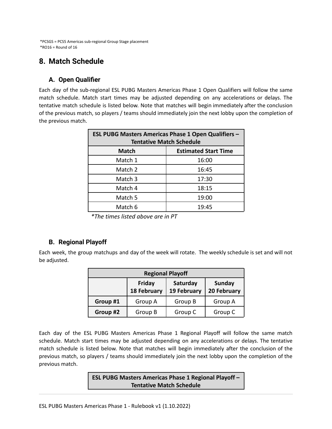\*PCSGS = PCS5 Americas sub-regional Group Stage placement  $*$ RO16 = Round of 16

## <span id="page-7-0"></span>**8. Match Schedule**

## <span id="page-7-1"></span>**A. Open Qualifier**

Each day of the sub-regional ESL PUBG Masters Americas Phase 1 Open Qualifiers will follow the same match schedule. Match start times may be adjusted depending on any accelerations or delays. The tentative match schedule is listed below. Note that matches will begin immediately after the conclusion of the previous match, so players / teams should immediately join the next lobby upon the completion of the previous match.

| <b>ESL PUBG Masters Americas Phase 1 Open Qualifiers -</b><br><b>Tentative Match Schedule</b> |       |  |  |
|-----------------------------------------------------------------------------------------------|-------|--|--|
| <b>Estimated Start Time</b><br><b>Match</b>                                                   |       |  |  |
| Match 1                                                                                       | 16:00 |  |  |
| Match 2                                                                                       | 16:45 |  |  |
| Match 3                                                                                       | 17:30 |  |  |
| Match 4                                                                                       | 18:15 |  |  |
| Match 5                                                                                       | 19:00 |  |  |
| Match 6                                                                                       | 19:45 |  |  |

*\*The times listed above are in PT*

## <span id="page-7-2"></span>**B. Regional Playoff**

Each week, the group matchups and day of the week will rotate. The weekly schedule is set and will not be adjusted.

| <b>Regional Playoff</b> |                              |                         |                       |  |
|-------------------------|------------------------------|-------------------------|-----------------------|--|
|                         | Friday<br><b>18 February</b> | Saturday<br>19 February | Sunday<br>20 February |  |
| Group #1                | Group A                      | Group B                 | Group A               |  |
| Group #2                | Group B                      | Group C                 | Group C               |  |

Each day of the ESL PUBG Masters Americas Phase 1 Regional Playoff will follow the same match schedule. Match start times may be adjusted depending on any accelerations or delays. The tentative match schedule is listed below. Note that matches will begin immediately after the conclusion of the previous match, so players / teams should immediately join the next lobby upon the completion of the previous match.

> **ESL PUBG Masters Americas Phase 1 Regional Playoff – Tentative Match Schedule**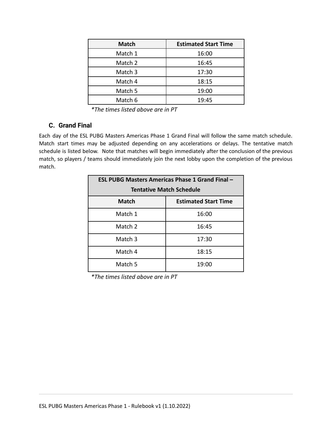| <b>Match</b> | <b>Estimated Start Time</b> |
|--------------|-----------------------------|
| Match 1      | 16:00                       |
| Match 2      | 16:45                       |
| Match 3      | 17:30                       |
| Match 4      | 18:15                       |
| Match 5      | 19:00                       |
| Match 6      | 19:45                       |

*\*The times listed above are in PT*

## <span id="page-8-0"></span>**C. Grand Final**

Each day of the ESL PUBG Masters Americas Phase 1 Grand Final will follow the same match schedule. Match start times may be adjusted depending on any accelerations or delays. The tentative match schedule is listed below. Note that matches will begin immediately after the conclusion of the previous match, so players / teams should immediately join the next lobby upon the completion of the previous match.

| <b>ESL PUBG Masters Americas Phase 1 Grand Final -</b> |       |  |  |
|--------------------------------------------------------|-------|--|--|
| <b>Tentative Match Schedule</b>                        |       |  |  |
| <b>Estimated Start Time</b><br><b>Match</b>            |       |  |  |
| Match 1                                                | 16:00 |  |  |
| Match 2                                                | 16:45 |  |  |
| Match 3                                                | 17:30 |  |  |
| Match 4                                                | 18:15 |  |  |
| Match 5                                                | 19:00 |  |  |

*\*The times listed above are in PT*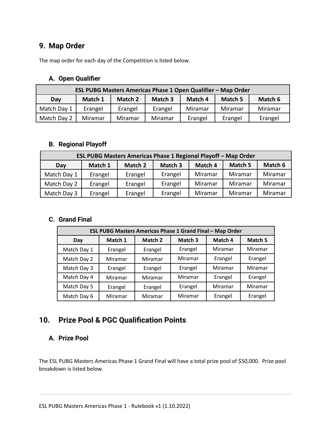# <span id="page-9-0"></span>**9. Map Order**

The map order for each day of the Competition is listed below.

## <span id="page-9-1"></span>**A. Open Qualifier**

| ESL PUBG Masters Americas Phase 1 Open Qualifier - Map Order |         |         |         |         |         |         |
|--------------------------------------------------------------|---------|---------|---------|---------|---------|---------|
| Match 2<br>Match 3<br>Match 1<br>Match 4<br>Match 5<br>Day   |         |         |         | Match 6 |         |         |
| Match Day 1                                                  | Erangel | Erangel | Erangel | Miramar | Miramar | Miramar |
| Match Day 2                                                  | Miramar | Miramar | Miramar | Erangel | Erangel | Erangel |

## <span id="page-9-2"></span>**B. Regional Playoff**

| ESL PUBG Masters Americas Phase 1 Regional Playoff - Map Order |         |         |         |         |                |         |
|----------------------------------------------------------------|---------|---------|---------|---------|----------------|---------|
| Day                                                            | Match 1 | Match 2 | Match 3 | Match 4 | <b>Match 5</b> | Match 6 |
| Match Day 1                                                    | Erangel | Erangel | Erangel | Miramar | Miramar        | Miramar |
| Match Day 2                                                    | Erangel | Erangel | Erangel | Miramar | Miramar        | Miramar |
| Match Day 3                                                    | Erangel | Erangel | Erangel | Miramar | Miramar        | Miramar |

#### <span id="page-9-3"></span>**C. Grand Final**

| <b>ESL PUBG Masters Americas Phase 1 Grand Final - Map Order</b> |         |         |         |         |         |
|------------------------------------------------------------------|---------|---------|---------|---------|---------|
| Day                                                              | Match 1 | Match 2 | Match 3 | Match 4 | Match 5 |
| Match Day 1                                                      | Erangel | Erangel | Erangel | Miramar | Miramar |
| Match Day 2                                                      | Miramar | Miramar | Miramar | Erangel | Erangel |
| Match Day 3                                                      | Erangel | Erangel | Erangel | Miramar | Miramar |
| Match Day 4                                                      | Miramar | Miramar | Miramar | Erangel | Erangel |
| Match Day 5                                                      | Erangel | Erangel | Erangel | Miramar | Miramar |
| Match Day 6                                                      | Miramar | Miramar | Miramar | Erangel | Erangel |

## <span id="page-9-4"></span>**10. Prize Pool & PGC Qualification Points**

#### <span id="page-9-5"></span>**A. Prize Pool**

The ESL PUBG Masters Americas Phase 1 Grand Final will have a total prize pool of \$50,000. Prize pool breakdown is listed below.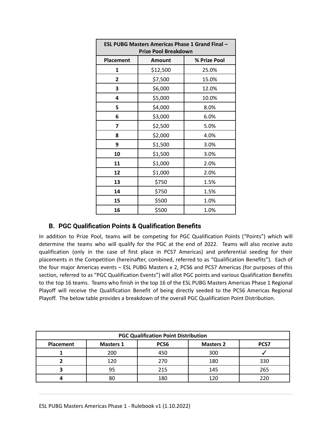| <b>ESL PUBG Masters Americas Phase 1 Grand Final -</b><br><b>Prize Pool Breakdown</b> |               |              |  |
|---------------------------------------------------------------------------------------|---------------|--------------|--|
| <b>Placement</b>                                                                      | <b>Amount</b> | % Prize Pool |  |
| 1                                                                                     | \$12,500      | 25.0%        |  |
| 2                                                                                     | \$7,500       | 15.0%        |  |
| 3                                                                                     | \$6,000       | 12.0%        |  |
| 4                                                                                     | \$5,000       | 10.0%        |  |
| 5                                                                                     | \$4,000       | 8.0%         |  |
| 6                                                                                     | \$3,000       | 6.0%         |  |
| 7                                                                                     | \$2,500       | 5.0%         |  |
| 8                                                                                     | \$2,000       | 4.0%         |  |
| 9                                                                                     | \$1,500       | 3.0%         |  |
| 10                                                                                    | \$1,500       | 3.0%         |  |
| 11                                                                                    | \$1,000       | 2.0%         |  |
| 12                                                                                    | \$1,000       | 2.0%         |  |
| 13                                                                                    | \$750         | 1.5%         |  |
| 14                                                                                    | \$750         | 1.5%         |  |
| 15                                                                                    | \$500         | 1.0%         |  |
| 16                                                                                    | \$500         | 1.0%         |  |

## <span id="page-10-0"></span>**B. PGC Qualification Points & Qualification Benefits**

In addition to Prize Pool, teams will be competing for PGC Qualification Points ("Points") which will determine the teams who will qualify for the PGC at the end of 2022. Teams will also receive auto qualification (only in the case of first place in PCS7 Americas) and preferential seeding for their placements in the Competition (hereinafter, combined, referred to as "Qualification Benefits"). Each of the four major Americas events – ESL PUBG Masters x 2, PCS6 and PCS7 Americas (for purposes of this section, referred to as "PGC Qualification Events") will allot PGC points and various Qualification Benefits to the top 16 teams. Teams who finish in the top 16 of the ESL PUBG Masters Americas Phase 1 Regional Playoff will receive the Qualification Benefit of being directly seeded to the PCS6 Americas Regional Playoff. The below table provides a breakdown of the overall PGC Qualification Point Distribution.

| <b>PGC Qualification Point Distribution</b> |                  |                  |                  |             |
|---------------------------------------------|------------------|------------------|------------------|-------------|
| Placement                                   | <b>Masters 1</b> | PCS <sub>6</sub> | <b>Masters 2</b> | <b>PCS7</b> |
|                                             | 200              | 450              | 300              |             |
|                                             | 120              | 270              | 180              | 330         |
|                                             | 95               | 215              | 145              | 265         |
|                                             | 80               | 180              | 120              |             |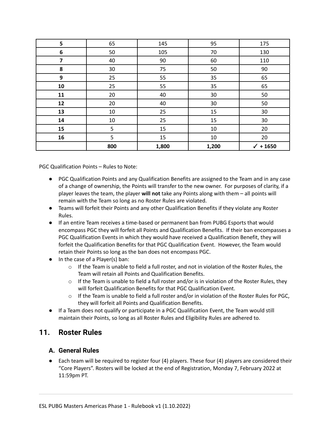| 5  | 65     | 145   | 95    | 175                 |
|----|--------|-------|-------|---------------------|
| 6  | 50     | 105   | 70    | 130                 |
| 7  | 40     | 90    | 60    | 110                 |
| 8  | 30     | 75    | 50    | 90                  |
| 9  | 25     | 55    | 35    | 65                  |
| 10 | 25     | 55    | 35    | 65                  |
| 11 | 20     | 40    | 30    | 50                  |
| 12 | 20     | 40    | 30    | 50                  |
| 13 | $10\,$ | 25    | 15    | 30                  |
| 14 | 10     | 25    | 15    | 30                  |
| 15 | 5      | 15    | 10    | 20                  |
| 16 | 5      | 15    | 10    | 20                  |
|    | 800    | 1,800 | 1,200 | $\checkmark$ + 1650 |

PGC Qualification Points – Rules to Note:

- PGC Qualification Points and any Qualification Benefits are assigned to the Team and in any case of a change of ownership, the Points will transfer to the new owner. For purposes of clarity, if a player leaves the team, the player **will not** take any Points along with them – all points will remain with the Team so long as no Roster Rules are violated.
- Teams will forfeit their Points and any other Qualification Benefits if they violate any Roster Rules.
- If an entire Team receives a time-based or permanent ban from PUBG Esports that would encompass PGC they will forfeit all Points and Qualification Benefits. If their ban encompasses a PGC Qualification Events in which they would have received a Qualification Benefit, they will forfeit the Qualification Benefits for that PGC Qualification Event. However, the Team would retain their Points so long as the ban does not encompass PGC.
- In the case of a Player(s) ban:
	- $\circ$  If the Team is unable to field a full roster, and not in violation of the Roster Rules, the Team will retain all Points and Qualification Benefits.
	- $\circ$  If the Team is unable to field a full roster and/or is in violation of the Roster Rules, they will forfeit Qualification Benefits for that PGC Qualification Event.
	- $\circ$  If the Team is unable to field a full roster and/or in violation of the Roster Rules for PGC, they will forfeit all Points and Qualification Benefits.
- If a Team does not qualify or participate in a PGC Qualification Event, the Team would still maintain their Points, so long as all Roster Rules and Eligibility Rules are adhered to.

## <span id="page-11-0"></span>**11. Roster Rules**

#### <span id="page-11-1"></span>**A. General Rules**

 $\bullet$  Each team will be required to register four (4) players. These four (4) players are considered their "Core Players". Rosters will be locked at the end of Registration, Monday 7, February 2022 at 11:59pm PT.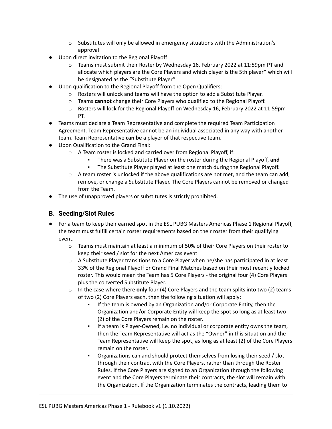- $\circ$  Substitutes will only be allowed in emergency situations with the Administration's approval
- Upon direct invitation to the Regional Playoff:
	- $\circ$  Teams must submit their Roster by Wednesday 16, February 2022 at 11:59pm PT and allocate which players are the Core Players and which player is the 5th player\* which will be designated as the "Substitute Player"
- Upon qualification to the Regional Playoff from the Open Qualifiers:
	- $\circ$  Rosters will unlock and teams will have the option to add a Substitute Player.
	- o Teams **cannot** change their Core Players who qualified to the Regional Playoff.
	- $\circ$  Rosters will lock for the Regional Playoff on Wednesday 16, February 2022 at 11:59pm PT.
- Teams must declare a Team Representative and complete the required Team Participation Agreement. Team Representative cannot be an individual associated in any way with another team. Team Representative **can be** a player of that respective team.
- Upon Qualification to the Grand Final:
	- o A Team roster is locked and carried over from Regional Playoff, if:
		- There was a Substitute Player on the roster during the Regional Playoff, and
		- **The Substitute Player played at least one match during the Regional Playoff.**
	- $\circ$  A team roster is unlocked if the above qualifications are not met, and the team can add, remove, or change a Substitute Player. The Core Players cannot be removed or changed from the Team.
- <span id="page-12-0"></span>● The use of unapproved players or substitutes is strictly prohibited.

### **B. Seeding/Slot Rules**

- For a team to keep their earned spot in the ESL PUBG Masters Americas Phase 1 Regional Playoff, the team must fulfill certain roster requirements based on their roster from their qualifying event.
	- $\circ$  Teams must maintain at least a minimum of 50% of their Core Players on their roster to keep their seed / slot for the next Americas event.
	- $\circ$  A Substitute Player transitions to a Core Player when he/she has participated in at least 33% of the Regional Playoff or Grand Final Matches based on their most recently locked roster. This would mean the Team has 5 Core Players - the original four (4) Core Players plus the converted Substitute Player.
	- o In the case where there **only** four (4) Core Players and the team splits into two (2) teams of two (2) Core Players each, then the following situation will apply:
		- If the team is owned by an Organization and/or Corporate Entity, then the Organization and/or Corporate Entity will keep the spot so long as at least two (2) of the Core Players remain on the roster.
		- If a team is Player-Owned, i.e. no individual or corporate entity owns the team, then the Team Representative will act as the "Owner" in this situation and the Team Representative will keep the spot, as long as at least (2) of the Core Players remain on the roster.
		- Organizations can and should protect themselves from losing their seed / slot through their contract with the Core Players, rather than through the Roster Rules. If the Core Players are signed to an Organization through the following event and the Core Players terminate their contracts, the slot will remain with the Organization. If the Organization terminates the contracts, leading them to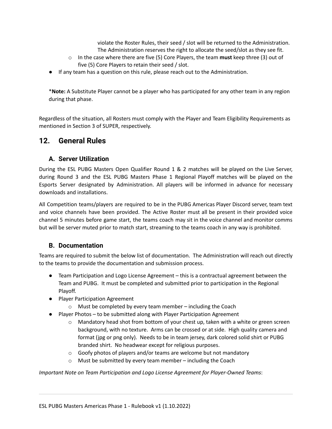violate the Roster Rules, their seed / slot will be returned to the Administration. The Administration reserves the right to allocate the seed/slot as they see fit.

- o In the case where there are five (5) Core Players, the team **must** keep three (3) out of five (5) Core Players to retain their seed / slot.
- If any team has a question on this rule, please reach out to the Administration.

\***Note:** A Substitute Player cannot be a player who has participated for any other team in any region during that phase.

Regardless of the situation, all Rosters must comply with the Player and Team Eligibility Requirements as mentioned in Section 3 of SUPER, respectively.

## <span id="page-13-0"></span>**12. General Rules**

### <span id="page-13-1"></span>**A. Server Utilization**

During the ESL PUBG Masters Open Qualifier Round 1 & 2 matches will be played on the Live Server, during Round 3 and the ESL PUBG Masters Phase 1 Regional Playoff matches will be played on the Esports Server designated by Administration. All players will be informed in advance for necessary downloads and installations.

All Competition teams/players are required to be in the PUBG Americas Player Discord server, team text and voice channels have been provided. The Active Roster must all be present in their provided voice channel 5 minutes before game start, the teams coach may sit in the voice channel and monitor comms but will be server muted prior to match start, streaming to the teams coach in any way is prohibited.

#### <span id="page-13-2"></span>**B. Documentation**

Teams are required to submit the below list of documentation. The Administration will reach out directly to the teams to provide the documentation and submission process.

- Team Participation and Logo License Agreement this is a contractual agreement between the Team and PUBG. It must be completed and submitted prior to participation in the Regional Playoff.
- Player Participation Agreement
	- o Must be completed by every team member including the Coach
- Player Photos to be submitted along with Player Participation Agreement
	- $\circ$  Mandatory head shot from bottom of your chest up, taken with a white or green screen background, with no texture. Arms can be crossed or at side. High quality camera and format (jpg or png only). Needs to be in team jersey, dark colored solid shirt or PUBG branded shirt. No headwear except for religious purposes.
	- $\circ$  Goofy photos of players and/or teams are welcome but not mandatory
	- o Must be submitted by every team member including the Coach

*Important Note on Team Participation and Logo License Agreement for Player-Owned Teams*: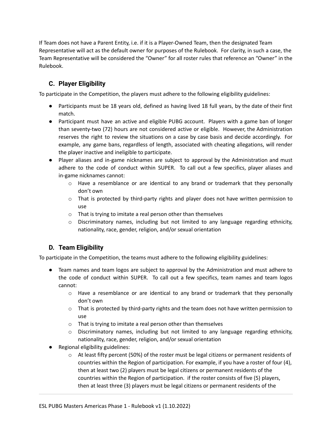If Team does not have a Parent Entity, i.e. if it is a Player-Owned Team, then the designated Team Representative will act as the default owner for purposes of the Rulebook. For clarity, in such a case, the Team Representative will be considered the "Owner" for all roster rules that reference an "Owner" in the Rulebook.

## <span id="page-14-0"></span>**C. Player Eligibility**

To participate in the Competition, the players must adhere to the following eligibility guidelines:

- Participants must be 18 years old, defined as having lived 18 full years, by the date of their first match.
- Participant must have an active and eligible PUBG account. Players with a game ban of longer than seventy-two (72) hours are not considered active or eligible. However, the Administration reserves the right to review the situations on a case by case basis and decide accordingly. For example, any game bans, regardless of length, associated with cheating allegations, will render the player inactive and ineligible to participate.
- Player aliases and in-game nicknames are subject to approval by the Administration and must adhere to the code of conduct within SUPER. To call out a few specifics, player aliases and in-game nicknames cannot:
	- o Have a resemblance or are identical to any brand or trademark that they personally don't own
	- $\circ$  That is protected by third-party rights and player does not have written permission to use
	- o That is trying to imitate a real person other than themselves
	- o Discriminatory names, including but not limited to any language regarding ethnicity, nationality, race, gender, religion, and/or sexual orientation

## <span id="page-14-1"></span>**D. Team Eligibility**

To participate in the Competition, the teams must adhere to the following eligibility guidelines:

- Team names and team logos are subject to approval by the Administration and must adhere to the code of conduct within SUPER. To call out a few specifics, team names and team logos cannot:
	- $\circ$  Have a resemblance or are identical to any brand or trademark that they personally don't own
	- $\circ$  That is protected by third-party rights and the team does not have written permission to use
	- o That is trying to imitate a real person other than themselves
	- $\circ$  Discriminatory names, including but not limited to any language regarding ethnicity, nationality, race, gender, religion, and/or sexual orientation
- Regional eligibility guidelines:
	- o At least fifty percent (50%) of the roster must be legal citizens or permanent residents of countries within the Region of participation. For example, if you have a roster of four (4), then at least two (2) players must be legal citizens or permanent residents of the countries within the Region of participation. if the roster consists of five (5) players, then at least three (3) players must be legal citizens or permanent residents of the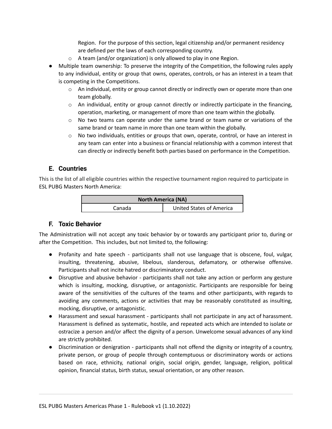Region. For the purpose of this section, legal citizenship and/or permanent residency are defined per the laws of each corresponding country.

- o A team (and/or organization) is only allowed to play in one Region.
- Multiple team ownership: To preserve the integrity of the Competition, the following rules apply to any individual, entity or group that owns, operates, controls, or has an interest in a team that is competing in the Competitions.
	- o An individual, entity or group cannot directly or indirectly own or operate more than one team globally.
	- $\circ$  An individual, entity or group cannot directly or indirectly participate in the financing, operation, marketing, or management of more than one team within the globally.
	- $\circ$  No two teams can operate under the same brand or team name or variations of the same brand or team name in more than one team within the globally.
	- $\circ$  No two individuals, entities or groups that own, operate, control, or have an interest in any team can enter into a business or financial relationship with a common interest that can directly or indirectly benefit both parties based on performance in the Competition.

#### <span id="page-15-0"></span>**E. Countries**

This is the list of all eligible countries within the respective tournament region required to participate in ESL PUBG Masters North America:

| <b>North America (NA)</b> |                          |  |  |
|---------------------------|--------------------------|--|--|
| Canada                    | United States of America |  |  |

#### **F. Toxic Behavior**

The Administration will not accept any toxic behavior by or towards any participant prior to, during or after the Competition. This includes, but not limited to, the following:

- Profanity and hate speech participants shall not use language that is obscene, foul, vulgar, insulting, threatening, abusive, libelous, slanderous, defamatory, or otherwise offensive. Participants shall not incite hatred or discriminatory conduct.
- Disruptive and abusive behavior participants shall not take any action or perform any gesture which is insulting, mocking, disruptive, or antagonistic. Participants are responsible for being aware of the sensitivities of the cultures of the teams and other participants, with regards to avoiding any comments, actions or activities that may be reasonably constituted as insulting, mocking, disruptive, or antagonistic.
- Harassment and sexual harassment participants shall not participate in any act of harassment. Harassment is defined as systematic, hostile, and repeated acts which are intended to isolate or ostracize a person and/or affect the dignity of a person. Unwelcome sexual advances of any kind are strictly prohibited.
- Discrimination or denigration participants shall not offend the dignity or integrity of a country, private person, or group of people through contemptuous or discriminatory words or actions based on race, ethnicity, national origin, social origin, gender, language, religion, political opinion, financial status, birth status, sexual orientation, or any other reason.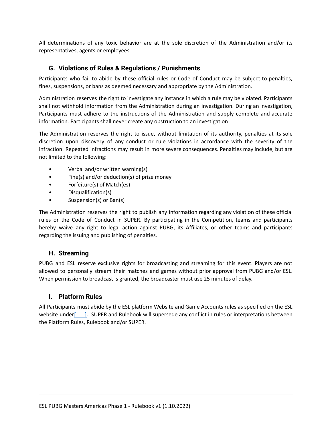All determinations of any toxic behavior are at the sole discretion of the Administration and/or its representatives, agents or employees.

### <span id="page-16-0"></span>**G. Violations of Rules & Regulations / Punishments**

Participants who fail to abide by these official rules or Code of Conduct may be subject to penalties, fines, suspensions, or bans as deemed necessary and appropriate by the Administration.

Administration reserves the right to investigate any instance in which a rule may be violated. Participants shall not withhold information from the Administration during an investigation. During an investigation, Participants must adhere to the instructions of the Administration and supply complete and accurate information. Participants shall never create any obstruction to an investigation

The Administration reserves the right to issue, without limitation of its authority, penalties at its sole discretion upon discovery of any conduct or rule violations in accordance with the severity of the infraction. Repeated infractions may result in more severe consequences. Penalties may include, but are not limited to the following:

- Verbal and/or written warning(s)
- Fine(s) and/or deduction(s) of prize money
- Forfeiture(s) of Match(es)
- Disqualification(s)
- Suspension(s) or Ban(s)

The Administration reserves the right to publish any information regarding any violation of these official rules or the Code of Conduct in SUPER. By participating in the Competition, teams and participants hereby waive any right to legal action against PUBG, its Affiliates, or other teams and participants regarding the issuing and publishing of penalties.

#### <span id="page-16-1"></span>**H. Streaming**

PUBG and ESL reserve exclusive rights for broadcasting and streaming for this event. Players are not allowed to personally stream their matches and games without prior approval from PUBG and/or ESL. When permission to broadcast is granted, the broadcaster must use 25 minutes of delay.

#### <span id="page-16-2"></span>**I. Platform Rules**

All Participants must abide by the ESL platform Website and Game Accounts rules as specified on the ESL website under[10, SUPER and Rulebook will supersede any conflict in rules or interpretations between the Platform Rules, Rulebook and/or SUPER.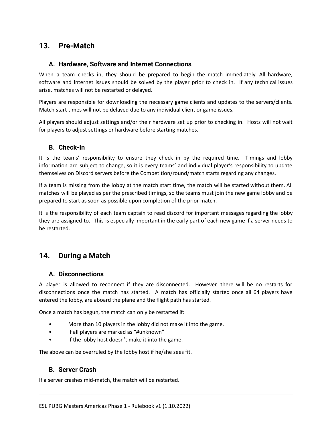## <span id="page-17-0"></span>**13. Pre-Match**

#### <span id="page-17-1"></span>**A. Hardware, Software and Internet Connections**

When a team checks in, they should be prepared to begin the match immediately. All hardware, software and Internet issues should be solved by the player prior to check in. If any technical issues arise, matches will not be restarted or delayed.

Players are responsible for downloading the necessary game clients and updates to the servers/clients. Match start times will not be delayed due to any individual client or game issues.

All players should adjust settings and/or their hardware set up prior to checking in. Hosts will not wait for players to adjust settings or hardware before starting matches.

### <span id="page-17-2"></span>**B. Check-In**

It is the teams' responsibility to ensure they check in by the required time. Timings and lobby information are subject to change, so it is every teams' and individual player's responsibility to update themselves on Discord servers before the Competition/round/match starts regarding any changes.

If a team is missing from the lobby at the match start time, the match will be started without them. All matches will be played as per the prescribed timings, so the teams must join the new game lobby and be prepared to start as soon as possible upon completion of the prior match.

It is the responsibility of each team captain to read discord for important messages regarding the lobby they are assigned to. This is especially important in the early part of each new game if a server needs to be restarted.

## <span id="page-17-3"></span>**14. During a Match**

#### <span id="page-17-4"></span>**A. Disconnections**

A player is allowed to reconnect if they are disconnected. However, there will be no restarts for disconnections once the match has started. A match has officially started once all 64 players have entered the lobby, are aboard the plane and the flight path has started.

Once a match has begun, the match can only be restarted if:

- More than 10 players in the lobby did not make it into the game.
- If all players are marked as "#unknown"
- If the lobby host doesn't make it into the game.

<span id="page-17-5"></span>The above can be overruled by the lobby host if he/she sees fit.

#### **B. Server Crash**

If a server crashes mid-match, the match will be restarted.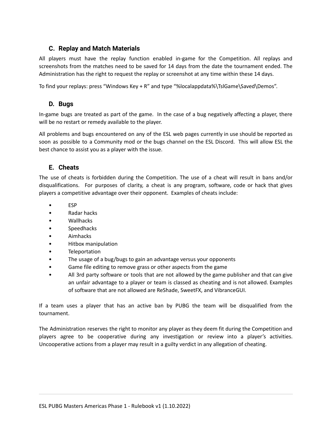### <span id="page-18-0"></span>**C. Replay and Match Materials**

All players must have the replay function enabled in-game for the Competition. All replays and screenshots from the matches need to be saved for 14 days from the date the tournament ended. The Administration has the right to request the replay or screenshot at any time within these 14 days.

To find your replays: press "Windows Key + R" and type "%localappdata%\TslGame\Saved\Demos".

#### <span id="page-18-1"></span>**D. Bugs**

In-game bugs are treated as part of the game. In the case of a bug negatively affecting a player, there will be no restart or remedy available to the player.

All problems and bugs encountered on any of the ESL web pages currently in use should be reported as soon as possible to a Community mod or the bugs channel on the ESL Discord. This will allow ESL the best chance to assist you as a player with the issue.

### <span id="page-18-2"></span>**E. Cheats**

The use of cheats is forbidden during the Competition. The use of a cheat will result in bans and/or disqualifications. For purposes of clarity, a cheat is any program, software, code or hack that gives players a competitive advantage over their opponent. Examples of cheats include:

- ESP
- Radar hacks
- Wallhacks
- **Speedhacks**
- Aimhacks
- Hitbox manipulation
- **Teleportation**
- The usage of a bug/bugs to gain an advantage versus your opponents
- Game file editing to remove grass or other aspects from the game
- All 3rd party software or tools that are not allowed by the game publisher and that can give an unfair advantage to a player or team is classed as cheating and is not allowed. Examples of software that are not allowed are ReShade, SweetFX, and VibranceGUI.

If a team uses a player that has an active ban by PUBG the team will be disqualified from the tournament.

The Administration reserves the right to monitor any player as they deem fit during the Competition and players agree to be cooperative during any investigation or review into a player's activities. Uncooperative actions from a player may result in a guilty verdict in any allegation of cheating.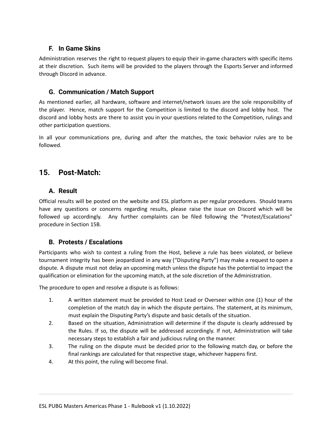### <span id="page-19-0"></span>**F. In Game Skins**

Administration reserves the right to request players to equip their in-game characters with specific items at their discretion. Such items will be provided to the players through the Esports Server and informed through Discord in advance.

### <span id="page-19-1"></span>**G. Communication / Match Support**

As mentioned earlier, all hardware, software and internet/network issues are the sole responsibility of the player. Hence, match support for the Competition is limited to the discord and lobby host. The discord and lobby hosts are there to assist you in your questions related to the Competition, rulings and other participation questions.

In all your communications pre, during and after the matches, the toxic behavior rules are to be followed.

## <span id="page-19-2"></span>**15. Post-Match:**

### <span id="page-19-3"></span>**A. Result**

Official results will be posted on the website and ESL platform as per regular procedures. Should teams have any questions or concerns regarding results, please raise the issue on Discord which will be followed up accordingly. Any further complaints can be filed following the "Protest/Escalations" procedure in Section 15B.

## <span id="page-19-4"></span>**B. Protests / Escalations**

Participants who wish to contest a ruling from the Host, believe a rule has been violated, or believe tournament integrity has been jeopardized in any way ("Disputing Party") may make a request to open a dispute. A dispute must not delay an upcoming match unless the dispute has the potential to impact the qualification or elimination for the upcoming match, at the sole discretion of the Administration.

The procedure to open and resolve a dispute is as follows:

- 1. A written statement must be provided to Host Lead or Overseer within one (1) hour of the completion of the match day in which the dispute pertains. The statement, at its minimum, must explain the Disputing Party's dispute and basic details of the situation.
- 2. Based on the situation, Administration will determine if the dispute is clearly addressed by the Rules. If so, the dispute will be addressed accordingly. If not, Administration will take necessary steps to establish a fair and judicious ruling on the manner.
- 3. The ruling on the dispute must be decided prior to the following match day, or before the final rankings are calculated for that respective stage, whichever happens first.
- 4. At this point, the ruling will become final.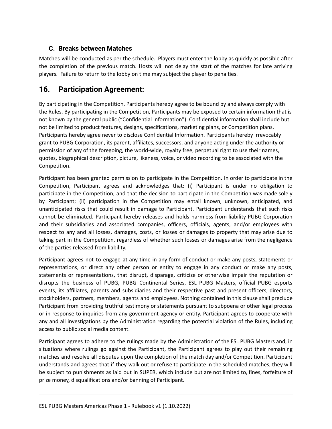## <span id="page-20-0"></span>**C. Breaks between Matches**

Matches will be conducted as per the schedule. Players must enter the lobby as quickly as possible after the completion of the previous match. Hosts will not delay the start of the matches for late arriving players. Failure to return to the lobby on time may subject the player to penalties.

## <span id="page-20-1"></span>**16. Participation Agreement:**

By participating in the Competition, Participants hereby agree to be bound by and always comply with the Rules. By participating in the Competition, Participants may be exposed to certain information that is not known by the general public ("Confidential Information"). Confidential information shall include but not be limited to product features, designs, specifications, marketing plans, or Competition plans. Participants hereby agree never to disclose Confidential Information. Participants hereby irrevocably grant to PUBG Corporation, its parent, affiliates, successors, and anyone acting under the authority or permission of any of the foregoing, the world-wide, royalty free, perpetual right to use their names, quotes, biographical description, picture, likeness, voice, or video recording to be associated with the Competition.

Participant has been granted permission to participate in the Competition. In order to participate in the Competition, Participant agrees and acknowledges that: (i) Participant is under no obligation to participate in the Competition, and that the decision to participate in the Competition was made solely by Participant; (ii) participation in the Competition may entail known, unknown, anticipated, and unanticipated risks that could result in damage to Participant. Participant understands that such risks cannot be eliminated. Participant hereby releases and holds harmless from liability PUBG Corporation and their subsidiaries and associated companies, officers, officials, agents, and/or employees with respect to any and all losses, damages, costs, or losses or damages to property that may arise due to taking part in the Competition, regardless of whether such losses or damages arise from the negligence of the parties released from liability.

Participant agrees not to engage at any time in any form of conduct or make any posts, statements or representations, or direct any other person or entity to engage in any conduct or make any posts, statements or representations, that disrupt, disparage, criticize or otherwise impair the reputation or disrupts the business of PUBG, PUBG Continental Series, ESL PUBG Masters, official PUBG esports events, its affiliates, parents and subsidiaries and their respective past and present officers, directors, stockholders, partners, members, agents and employees. Nothing contained in this clause shall preclude Participant from providing truthful testimony or statements pursuant to subpoena or other legal process or in response to inquiries from any government agency or entity. Participant agrees to cooperate with any and all investigations by the Administration regarding the potential violation of the Rules, including access to public social media content.

Participant agrees to adhere to the rulings made by the Administration of the ESL PUBG Masters and, in situations where rulings go against the Participant, the Participant agrees to play out their remaining matches and resolve all disputes upon the completion of the match day and/or Competition. Participant understands and agrees that if they walk out or refuse to participate in the scheduled matches, they will be subject to punishments as laid out in SUPER, which include but are not limited to, fines, forfeiture of prize money, disqualifications and/or banning of Participant.